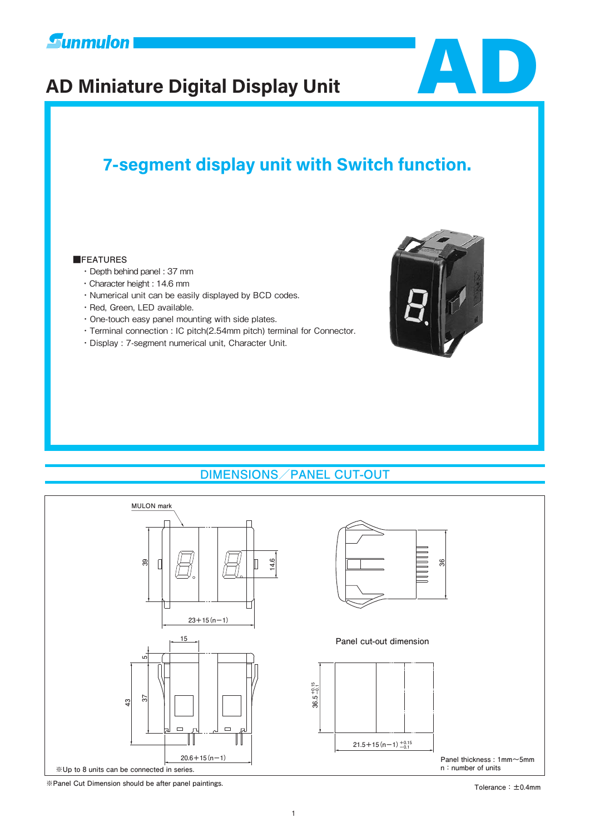

# **AD Miniature Digital Display Unit** AD



## **7-segment display unit with Switch function.**

#### **■FEATURES**

- ・Depth behind panel : 37 mm
- ・Character height : 14.6 mm
- ・Numerical unit can be easily displayed by BCD codes.
- ・Red, Green, LED available.
- ・One-touch easy panel mounting with side plates.
- ・Terminal connection : IC pitch(2.54mm pitch) terminal for Connector.
- ・Display : 7-segment numerical unit, Character Unit.



## **DIMENSIONS/PANEL CUT-OUT**



**※Panel Cut Dimension should be after panel paintings. Tolerance:±0.4mm**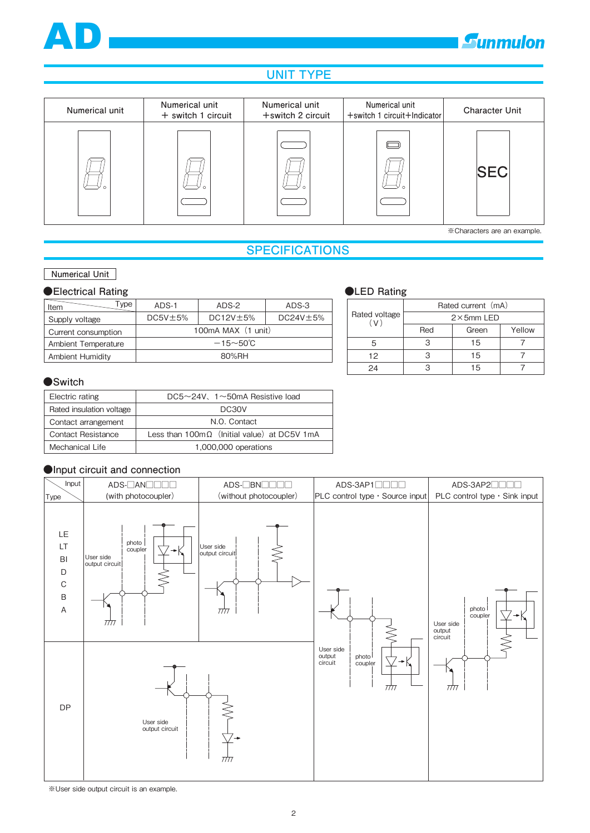

## **E**unmulon

## **UNIT TYPE**



## **SPECIFICATIONS**

#### **Numerical Unit**

#### **●Electrical Rating**

| Item<br>"vpe            | $ADS-1$       | ADS-2                | ADS-3          |
|-------------------------|---------------|----------------------|----------------|
| Supply voltage          | $DC5V \pm 5%$ | $DC12V \pm 5%$       | $DC24V \pm 5%$ |
| Current consumption     |               | 100mA MAX (1 unit)   |                |
| Ambient Temperature     |               | $-15 - 50^{\circ}$ C |                |
| <b>Ambient Humidity</b> |               | 80%RH                |                |

#### **●LED Rating**

|                      | Rated current (mA) |       |        |  |  |  |  |  |  |
|----------------------|--------------------|-------|--------|--|--|--|--|--|--|
| Rated voltage<br>(V) | $2\times$ 5mm LED  |       |        |  |  |  |  |  |  |
|                      | Red                | Green | Yellow |  |  |  |  |  |  |
| 5                    |                    | 15    |        |  |  |  |  |  |  |
| 12                   |                    | 15    |        |  |  |  |  |  |  |
| 24                   |                    | 15    |        |  |  |  |  |  |  |

#### **●Switch**

| Electric rating           | $DC5 \sim 24V$ , 1 $\sim$ 50mA Resistive load              |
|---------------------------|------------------------------------------------------------|
| Rated insulation voltage  | DC30V                                                      |
| Contact arrangement       | N.O. Contact                                               |
| <b>Contact Resistance</b> | Less than $100 \text{m}\Omega$ (Initial value) at DC5V 1mA |
| Mechanical Life           | 1,000,000 operations                                       |

#### **●Input circuit and connection**



※User side output circuit is an example.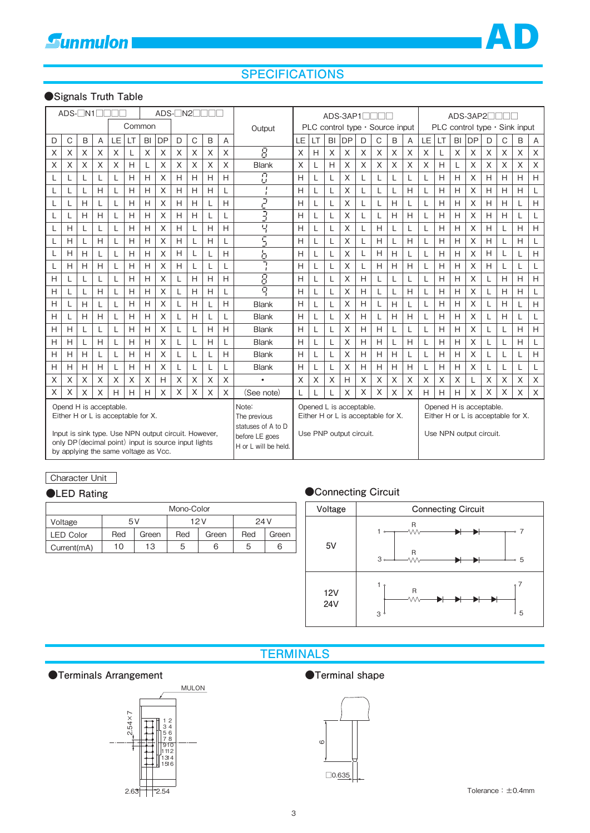

## **SPECIFICATIONS**

#### **●Signals Truth Table**

| $ADS-TN1$<br>$ADS-TN2T$                                                                                                                                                                                              |   |          |   |     |    |          |                                                                                       |          |                                                                                                                                                                                      | ADS-3AP1 |             |                    |    | ADS-3AP2 |    |                                 |   |   |          |   |                                     |    |    |           |          |   |          |             |
|----------------------------------------------------------------------------------------------------------------------------------------------------------------------------------------------------------------------|---|----------|---|-----|----|----------|---------------------------------------------------------------------------------------|----------|--------------------------------------------------------------------------------------------------------------------------------------------------------------------------------------|----------|-------------|--------------------|----|----------|----|---------------------------------|---|---|----------|---|-------------------------------------|----|----|-----------|----------|---|----------|-------------|
|                                                                                                                                                                                                                      |   |          |   |     |    | Common   |                                                                                       |          |                                                                                                                                                                                      |          |             | Output             |    |          |    | PLC control type . Source input |   |   |          |   | PLC control type $\cdot$ Sink input |    |    |           |          |   |          |             |
| D                                                                                                                                                                                                                    | C | B        | Α | LE. | LT | BI       | <b>DP</b>                                                                             | D        | C                                                                                                                                                                                    | B        | A           |                    | LE | LT       | BI | <b>DP</b>                       | D | С | B        | Α | LE                                  | LT | BI | <b>DP</b> | D        | C | B        | Α           |
| Χ                                                                                                                                                                                                                    | X | Χ        | X | X   | L  | $\times$ | X                                                                                     | X        | X                                                                                                                                                                                    | X        | $\mathsf X$ | 휴                  | X  | Н        | X  | X                               | X | X | X        | X | X                                   | L  | X  | X         | X        | X | Χ        | $\mathsf X$ |
| X                                                                                                                                                                                                                    | X | X        | X | X   | H  | L        | X                                                                                     | X        | X                                                                                                                                                                                    | X        | X           | <b>Blank</b>       | X  | L        | H  | X                               | X | X | X        | X | X                                   | H  |    | X         | $\times$ | X | $\times$ | $\times$    |
| L                                                                                                                                                                                                                    |   | L        | L | L   | H  | H        | X                                                                                     | H        | H                                                                                                                                                                                    | H        | H           | Ū.<br>$\mathbf{L}$ | H  | L        | L  | $\times$                        | L | L | L        | L | L                                   | H  | H  | X         | Н        | H | H        | H           |
| L                                                                                                                                                                                                                    |   |          | H | L   | H  | H        | X                                                                                     | H        | H                                                                                                                                                                                    | H        | L           | $\mathbf{I}$       | H  | L        | L  | X                               | L | L | L        | H | L                                   | H  | H  | X         | H        | H | H        | L           |
| L                                                                                                                                                                                                                    |   | H        | L | L   | H  | H        | X                                                                                     | H        | H                                                                                                                                                                                    | L        | H           | 2                  | Н  | L        | L  | X                               | L | L | H        | L | L                                   | H  | Н  | X         | H        | H | L        | H           |
| L                                                                                                                                                                                                                    |   | H        | H |     | H  | H        | X                                                                                     | H        | H                                                                                                                                                                                    |          | L           | 3                  | Н  |          |    | X                               |   |   | H        | H | L                                   | H  | H  | X         | H        | H | L        | $\mathsf L$ |
| L                                                                                                                                                                                                                    | Н |          | L | L   | H  | H        | X                                                                                     | H        | L                                                                                                                                                                                    | H        | H           | 복                  | Н  | L        | L  | X                               | L | H | L        | L | L                                   | H  | Н  | X         | H        | L | H        | H           |
| L                                                                                                                                                                                                                    | Н | L        | H | L   | H  | H        | X                                                                                     | H        | L                                                                                                                                                                                    | H        | L           | Ξ                  | Н  | L        | L  | X                               | L | H | L        | H | L                                   | H  | H  | $\times$  | H        |   | H        | L           |
| L                                                                                                                                                                                                                    | H | H        | L |     | H  | H        | X                                                                                     | H        | L                                                                                                                                                                                    |          | H           | Ь                  | Н  | L        |    | X                               |   | H | H        | L | L                                   | H  | Н  | X         | H        |   | L        | H           |
| L                                                                                                                                                                                                                    | Н | H        | H | L   | H  | H        | X                                                                                     | H        | L                                                                                                                                                                                    |          | L           | 7                  | Н  | L        |    | X                               |   | H | H        | H | L                                   | H  | Н  | X         | H        |   | L        | L           |
| Н                                                                                                                                                                                                                    |   | L        | L | L   | H  | H        | X                                                                                     | L        | H                                                                                                                                                                                    | H        | H           | 8                  | H  | L        | L  | X                               | H | L | L        | L | L                                   | H  | H  | X         | L        | H | H        | H           |
| Н                                                                                                                                                                                                                    |   | L        | H | L   | H  | H        | X                                                                                     | L        | H                                                                                                                                                                                    | H        | L           | ō                  | H  | L        | L  | X                               | H | L | L        | H | L                                   | H  | Н  | X         | L        | H | H        | L           |
| Н                                                                                                                                                                                                                    |   | H        | L |     | H  | H        | X                                                                                     |          | H                                                                                                                                                                                    |          | H           | <b>Blank</b>       | Н  | L        |    | X                               | H |   | H        | L |                                     | H  | Н  | X         | L        | Н | L        | H           |
| H                                                                                                                                                                                                                    |   | H        | H | L   | H  | H        | X                                                                                     |          | H                                                                                                                                                                                    |          | L           | <b>Blank</b>       | H  | L        |    | X                               | H |   | H        | H |                                     | H  | H  | X         | L        | H | L        | L           |
| Н                                                                                                                                                                                                                    | H | L        | L | L   | H  | H        | X                                                                                     | L        | L                                                                                                                                                                                    | H        | H           | <b>Blank</b>       | H  | L        | L  | X                               | H | H | L        | L |                                     | H  | Н  | X         | L        |   | H        | H           |
| H                                                                                                                                                                                                                    | Н |          | H |     | H  | H        | X                                                                                     |          | L                                                                                                                                                                                    | Н        | L           | <b>Blank</b>       | H  | L        |    | X                               | H | H | L        | H | L                                   | H  | Н  | X         | L        |   | H        | L           |
| H                                                                                                                                                                                                                    | H | H        | L | L   | H  | H        | X                                                                                     | L        | L                                                                                                                                                                                    |          | H           | <b>Blank</b>       | Н  | L        | L  | X                               | H | H | H        | L | L                                   | H  | Н  | X         | L        | L | L        | H           |
| Н                                                                                                                                                                                                                    | Н | H        | H | L   | H  | H        | X                                                                                     |          | L                                                                                                                                                                                    |          | L           | <b>Blank</b>       | Н  | L        |    | X                               | H | H | H        | H |                                     | H  | Н  | X         | L        |   | L        | L           |
| X                                                                                                                                                                                                                    | X | X        | X | X   | X  | X        | Н                                                                                     | X        | X                                                                                                                                                                                    | X        | X           | $\bullet$          | X  | X        | X  | H                               | X | X | X        | X | X                                   | X  | X  | L         | X        | X | X        | $\mathsf X$ |
| X                                                                                                                                                                                                                    | X | $\times$ | X | H   | H  | H        | X                                                                                     | $\times$ | $\times$                                                                                                                                                                             | X        | $\times$    | (See note)         | L  |          |    | X                               | X | X | $\times$ | X | H                                   | H  | Н  | X         | $\times$ | X | $\times$ | $\times$    |
| Opend H is acceptable.<br>Either H or L is acceptable for X.<br>Input is sink type. Use NPN output circuit. However,<br>only DP (decimal point) input is source input lights<br>by applying the same voltage as Vcc. |   |          |   |     |    |          | Note:<br>The previous<br>statuses of A to D<br>before LE goes<br>H or L will be held. |          | Opened L is acceptable.<br>Opened H is acceptable.<br>Either H or L is acceptable for X.<br>Either H or L is acceptable for X.<br>Use PNP output circuit.<br>Use NPN output circuit. |          |             |                    |    |          |    |                                 |   |   |          |   |                                     |    |    |           |          |   |          |             |

#### Character Unit

| Mono-Color       |     |       |     |       |      |       |  |  |  |  |
|------------------|-----|-------|-----|-------|------|-------|--|--|--|--|
| Voltage          | 5 V |       |     | 12 V  | 24 V |       |  |  |  |  |
| <b>LED Color</b> | Red | Green | Red | Green | Red  | Green |  |  |  |  |
| Current(mA)      | 10  | 13    | 5   | 6     | 5    | 6     |  |  |  |  |

#### **●LED Rating ●Connecting Circuit**



## **TERMINALS**

●Terminals Arrangement ●Terminal shape





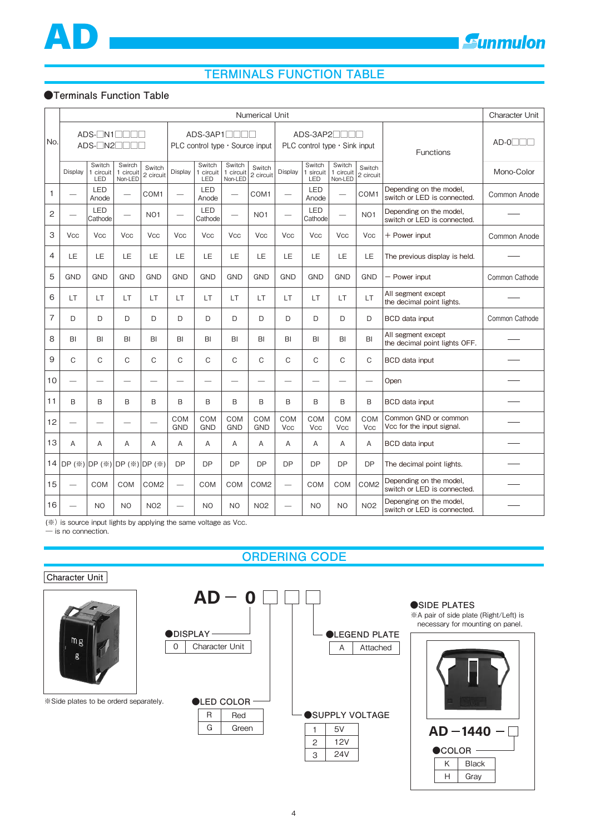

## **TERMINALS FUNCTION TABLE**

#### **●Terminals Function Table**

|                | Numerical Unit                 |                                                                                                                                       |                                |                          |                                 |                            |                                |                     |                          |                            | <b>Character Unit</b>          |                          |                                                        |                |
|----------------|--------------------------------|---------------------------------------------------------------------------------------------------------------------------------------|--------------------------------|--------------------------|---------------------------------|----------------------------|--------------------------------|---------------------|--------------------------|----------------------------|--------------------------------|--------------------------|--------------------------------------------------------|----------------|
| No.            |                                | $ADS-TN1$<br>ADS-3AP1<br>ADS-3AP2 <sup>1</sup><br>PLC control type · Source input<br>PLC control type $\cdot$ Sink input<br>Functions |                                |                          |                                 |                            |                                |                     |                          |                            |                                |                          | $AD-O$                                                 |                |
|                | Display                        | Switch<br>1 circuit<br>LED                                                                                                            | Swirch<br>1 circuit<br>Non-LED | Switch<br>2 circuit      | Display                         | Switch<br>1 circuit<br>LED | Switch<br>1 circuit<br>Non-LED | Switch<br>2 circuit | Display                  | Switch<br>1 sircuit<br>LED | Switch<br>1 circuit<br>Non-LED | Switch<br>2 circuit      |                                                        | Mono-Color     |
| $\mathbf{1}$   |                                | LED<br>Anode                                                                                                                          | $\overline{\phantom{0}}$       | COM <sub>1</sub>         |                                 | LED<br>Anode               | $\overline{\phantom{0}}$       | COM <sub>1</sub>    | $\overline{\phantom{0}}$ | LED<br>Anode               | $\overline{\phantom{0}}$       | COM1                     | Depending on the model,<br>switch or LED is connected. | Common Anode   |
| 2              | $\overline{\phantom{0}}$       | LED<br>Cathode                                                                                                                        | $\overline{\phantom{0}}$       | <b>NO1</b>               | $\overbrace{\phantom{1232211}}$ | <b>LED</b><br>Cathode      |                                | <b>NO1</b>          |                          | LED<br>Cathode             | $\overline{\phantom{0}}$       | NO <sub>1</sub>          | Depending on the model,<br>switch or LED is connected. |                |
| 3              | Vcc                            | <b>Vcc</b>                                                                                                                            | <b>Vcc</b>                     | <b>Vcc</b>               | <b>Vcc</b>                      | <b>Vcc</b>                 | <b>Vcc</b>                     | Vcc                 | Vcc                      | <b>Vcc</b>                 | <b>Vcc</b>                     | Vcc                      | + Power input                                          | Common Anode   |
| 4              | LE                             | LE                                                                                                                                    | LE                             | LE                       | LE                              | LE                         | LE                             | LE                  | LE                       | LE                         | LE                             | LE                       | The previous display is held.                          |                |
| 5              | <b>GND</b>                     | <b>GND</b>                                                                                                                            | <b>GND</b>                     | <b>GND</b>               | <b>GND</b>                      | <b>GND</b>                 | <b>GND</b>                     | <b>GND</b>          | <b>GND</b>               | <b>GND</b>                 | <b>GND</b>                     | <b>GND</b>               | - Power input                                          | Common Cathode |
| 6              | LT                             | LT                                                                                                                                    | LT                             | LT                       | LT                              | LT                         | LT                             | LT                  | LT                       | LT.                        | LT                             | LT                       | All segment except<br>the decimal point lights.        |                |
| $\overline{7}$ | D                              | D                                                                                                                                     | D                              | D                        | D                               | D                          | D                              | D                   | D                        | D                          | D                              | D                        | <b>BCD</b> data input                                  | Common Cathode |
| 8              | BI                             | BI                                                                                                                                    | BI                             | BI                       | BI                              | BI                         | BI                             | B <sub>l</sub>      | BI                       | BI                         | BI                             | BI                       | All segment except<br>the decimal point lights OFF.    |                |
| 9              | $\mathsf{C}$                   | C                                                                                                                                     | C                              | $\mathsf C$              | C                               | C                          | C                              | C                   | C                        | $\mathsf C$                | $\mathsf{C}$                   | $\mathsf{C}$             | <b>BCD</b> data input                                  |                |
| 10             | -                              | $\overline{\phantom{0}}$                                                                                                              | -                              | $\overline{\phantom{0}}$ | $\overline{\phantom{0}}$        | -                          | -                              | -                   | -                        | -                          | -                              | $\overline{\phantom{0}}$ | Open                                                   |                |
| 11             | B                              | B                                                                                                                                     | B                              | B                        | B                               | B                          | B                              | B                   | B                        | B                          | B                              | B                        | <b>BCD</b> data input                                  |                |
| 12             |                                |                                                                                                                                       |                                |                          | COM<br><b>GND</b>               | COM<br><b>GND</b>          | COM<br><b>GND</b>              | COM<br><b>GND</b>   | COM<br>Vcc               | COM<br><b>Vcc</b>          | COM<br>Vcc                     | COM<br><b>Vcc</b>        | Common GND or common<br>Vcc for the input signal.      |                |
| 13             | A                              | A                                                                                                                                     | A                              | A                        | A                               | A                          | A                              | A                   | A                        | A                          | A                              | A                        | BCD data input                                         |                |
|                | 14 DP (※) DP (※) DP (※) DP (※) |                                                                                                                                       |                                |                          | <b>DP</b>                       | <b>DP</b>                  | <b>DP</b>                      | <b>DP</b>           | <b>DP</b>                | <b>DP</b>                  | <b>DP</b>                      | <b>DP</b>                | The decimal point lights.                              |                |
| 15             | $\overline{\phantom{0}}$       | <b>COM</b>                                                                                                                            | COM                            | COM <sub>2</sub>         | $\overbrace{\qquad \qquad }^{}$ | <b>COM</b>                 | COM                            | COM <sub>2</sub>    |                          | COM                        | COM                            | COM <sub>2</sub>         | Depending on the model,<br>switch or LED is connected. |                |
| 16             |                                | N <sub>O</sub>                                                                                                                        | N <sub>O</sub>                 | <b>NO2</b>               | $\overline{\phantom{0}}$        | N <sub>O</sub>             | N <sub>O</sub>                 | <b>NO2</b>          | $\overline{\phantom{0}}$ | N <sub>O</sub>             | N <sub>O</sub>                 | <b>NO2</b>               | Depenging on the model,<br>switch or LED is connected. |                |

(※) is source input lights by applying the same voltage as Vcc.

― is no connection.

### **ORDERING CODE**